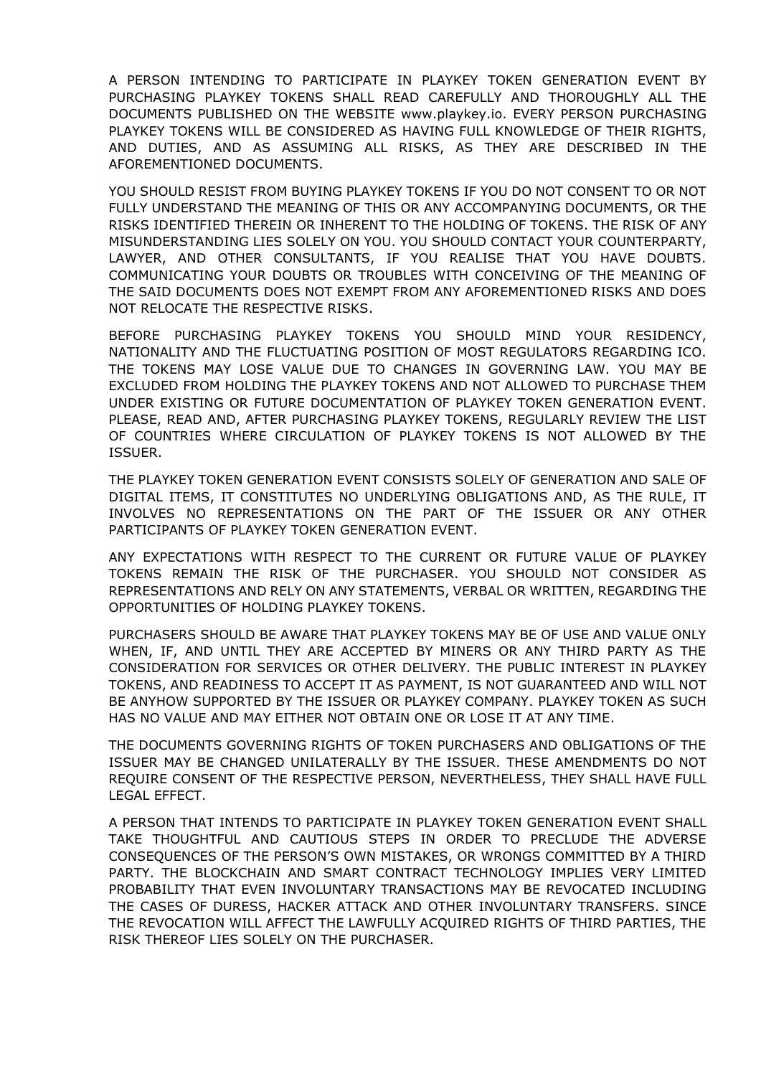A PERSON INTENDING TO PARTICIPATE IN PLAYKEY TOKEN GENERATION EVENT BY PURCHASING PLAYKEY TOKENS SHALL READ CAREFULLY AND THOROUGHLY ALL THE DOCUMENTS PUBLISHED ON THE WEBSITE www.playkey.io. EVERY PERSON PURCHASING PLAYKEY TOKENS WILL BE CONSIDERED AS HAVING FULL KNOWLEDGE OF THEIR RIGHTS, AND DUTIES, AND AS ASSUMING ALL RISKS, AS THEY ARE DESCRIBED IN THE AFOREMENTIONED DOCUMENTS.

YOU SHOULD RESIST FROM BUYING PLAYKEY TOKENS IF YOU DO NOT CONSENT TO OR NOT FULLY UNDERSTAND THE MEANING OF THIS OR ANY ACCOMPANYING DOCUMENTS, OR THE RISKS IDENTIFIED THEREIN OR INHERENT TO THE HOLDING OF TOKENS. THE RISK OF ANY MISUNDERSTANDING LIES SOLELY ON YOU. YOU SHOULD CONTACT YOUR COUNTERPARTY, LAWYER, AND OTHER CONSULTANTS, IF YOU REALISE THAT YOU HAVE DOUBTS. COMMUNICATING YOUR DOUBTS OR TROUBLES WITH CONCEIVING OF THE MEANING OF THE SAID DOCUMENTS DOES NOT EXEMPT FROM ANY AFOREMENTIONED RISKS AND DOES NOT RELOCATE THE RESPECTIVE RISKS.

BEFORE PURCHASING PLAYKEY TOKENS YOU SHOULD MIND YOUR RESIDENCY, NATIONALITY AND THE FLUCTUATING POSITION OF MOST REGULATORS REGARDING ICO. THE TOKENS MAY LOSE VALUE DUE TO CHANGES IN GOVERNING LAW. YOU MAY BE EXCLUDED FROM HOLDING THE PLAYKEY TOKENS AND NOT ALLOWED TO PURCHASE THEM UNDER EXISTING OR FUTURE DOCUMENTATION OF PLAYKEY TOKEN GENERATION EVENT. PLEASE, READ AND, AFTER PURCHASING PLAYKEY TOKENS, REGULARLY REVIEW THE LIST OF COUNTRIES WHERE CIRCULATION OF PLAYKEY TOKENS IS NOT ALLOWED BY THE ISSUER.

THE PLAYKEY TOKEN GENERATION EVENT CONSISTS SOLELY OF GENERATION AND SALE OF DIGITAL ITEMS, IT CONSTITUTES NO UNDERLYING OBLIGATIONS AND, AS THE RULE, IT INVOLVES NO REPRESENTATIONS ON THE PART OF THE ISSUER OR ANY OTHER PARTICIPANTS OF PLAYKEY TOKEN GENERATION EVENT.

ANY EXPECTATIONS WITH RESPECT TO THE CURRENT OR FUTURE VALUE OF PLAYKEY TOKENS REMAIN THE RISK OF THE PURCHASER. YOU SHOULD NOT CONSIDER AS REPRESENTATIONS AND RELY ON ANY STATEMENTS, VERBAL OR WRITTEN, REGARDING THE OPPORTUNITIES OF HOLDING PLAYKEY TOKENS.

PURCHASERS SHOULD BE AWARE THAT PLAYKEY TOKENS MAY BE OF USE AND VALUE ONLY WHEN, IF, AND UNTIL THEY ARE ACCEPTED BY MINERS OR ANY THIRD PARTY AS THE CONSIDERATION FOR SERVICES OR OTHER DELIVERY. THE PUBLIC INTEREST IN PLAYKEY TOKENS, AND READINESS TO ACCEPT IT AS PAYMENT, IS NOT GUARANTEED AND WILL NOT BE ANYHOW SUPPORTED BY THE ISSUER OR PLAYKEY COMPANY. PLAYKEY TOKEN AS SUCH HAS NO VALUE AND MAY EITHER NOT OBTAIN ONE OR LOSE IT AT ANY TIME.

THE DOCUMENTS GOVERNING RIGHTS OF TOKEN PURCHASERS AND OBLIGATIONS OF THE ISSUER MAY BE CHANGED UNILATERALLY BY THE ISSUER. THESE AMENDMENTS DO NOT REQUIRE CONSENT OF THE RESPECTIVE PERSON, NEVERTHELESS, THEY SHALL HAVE FULL LEGAL EFFECT.

A PERSON THAT INTENDS TO PARTICIPATE IN PLAYKEY TOKEN GENERATION EVENT SHALL TAKE THOUGHTFUL AND CAUTIOUS STEPS IN ORDER TO PRECLUDE THE ADVERSE CONSEQUENCES OF THE PERSON'S OWN MISTAKES, OR WRONGS COMMITTED BY A THIRD PARTY. THE BLOCKCHAIN AND SMART CONTRACT TECHNOLOGY IMPLIES VERY LIMITED PROBABILITY THAT EVEN INVOLUNTARY TRANSACTIONS MAY BE REVOCATED INCLUDING THE CASES OF DURESS, HACKER ATTACK AND OTHER INVOLUNTARY TRANSFERS. SINCE THE REVOCATION WILL AFFECT THE LAWFULLY ACQUIRED RIGHTS OF THIRD PARTIES, THE RISK THEREOF LIES SOLELY ON THE PURCHASER.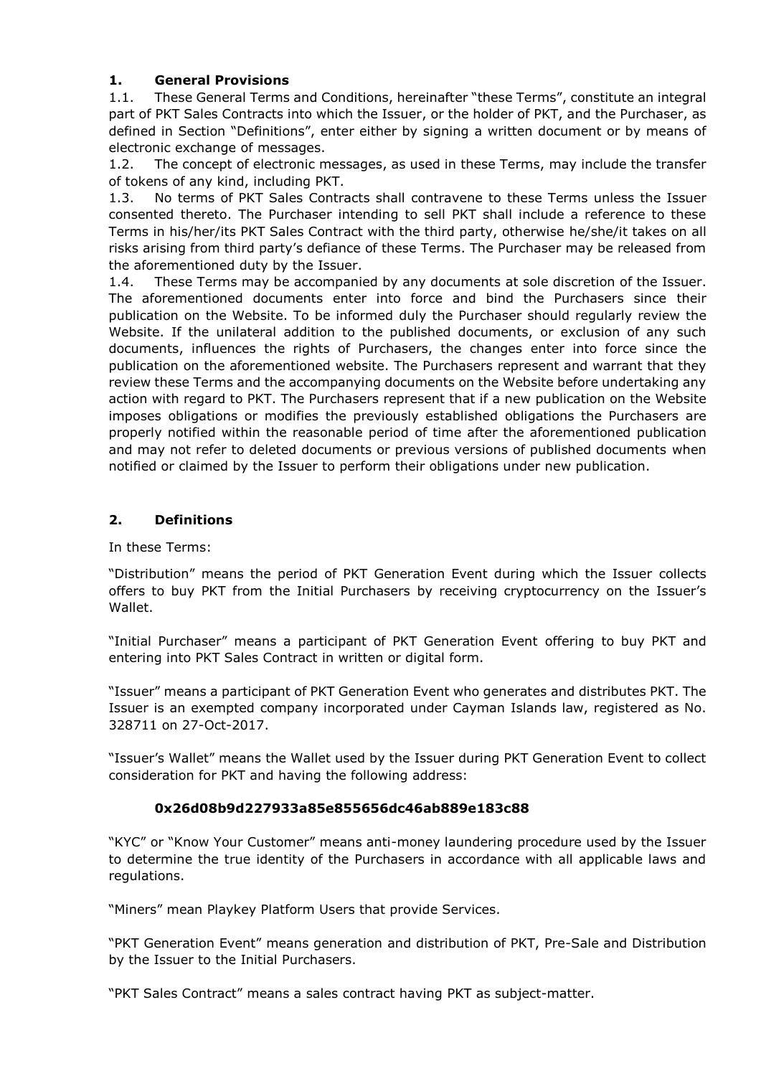# **1. General Provisions**

1.1. These General Terms and Conditions, hereinafter "these Terms", constitute an integral part of PKT Sales Contracts into which the Issuer, or the holder of PKT, and the Purchaser, as defined in Section "Definitions", enter either by signing a written document or by means of electronic exchange of messages.

1.2. The concept of electronic messages, as used in these Terms, may include the transfer of tokens of any kind, including PKT.

1.3. No terms of PKT Sales Contracts shall contravene to these Terms unless the Issuer consented thereto. The Purchaser intending to sell PKT shall include a reference to these Terms in his/her/its PKT Sales Contract with the third party, otherwise he/she/it takes on all risks arising from third party's defiance of these Terms. The Purchaser may be released from the aforementioned duty by the Issuer.

1.4. These Terms may be accompanied by any documents at sole discretion of the Issuer. The aforementioned documents enter into force and bind the Purchasers since their publication on the Website. To be informed duly the Purchaser should regularly review the Website. If the unilateral addition to the published documents, or exclusion of any such documents, influences the rights of Purchasers, the changes enter into force since the publication on the aforementioned website. The Purchasers represent and warrant that they review these Terms and the accompanying documents on the Website before undertaking any action with regard to PKT. The Purchasers represent that if a new publication on the Website imposes obligations or modifies the previously established obligations the Purchasers are properly notified within the reasonable period of time after the aforementioned publication and may not refer to deleted documents or previous versions of published documents when notified or claimed by the Issuer to perform their obligations under new publication.

### **2. Definitions**

In these Terms:

"Distribution" means the period of PKT Generation Event during which the Issuer collects offers to buy PKT from the Initial Purchasers by receiving cryptocurrency on the Issuer's Wallet.

"Initial Purchaser" means a participant of PKT Generation Event offering to buy PKT and entering into PKT Sales Contract in written or digital form.

"Issuer" means a participant of PKT Generation Event who generates and distributes PKT. The Issuer is an exempted company incorporated under Cayman Islands law, registered as No. 328711 on 27-Oct-2017.

"Issuer's Wallet" means the Wallet used by the Issuer during PKT Generation Event to collect consideration for PKT and having the following address:

#### **0x26d08b9d227933a85e855656dc46ab889e183c88**

"KYC" or "Know Your Customer" means anti-money laundering procedure used by the Issuer to determine the true identity of the Purchasers in accordance with all applicable laws and regulations.

"Miners" mean Playkey Platform Users that provide Services.

"PKT Generation Event" means generation and distribution of PKT, Pre-Sale and Distribution by the Issuer to the Initial Purchasers.

"PKT Sales Contract" means a sales contract having PKT as subject-matter.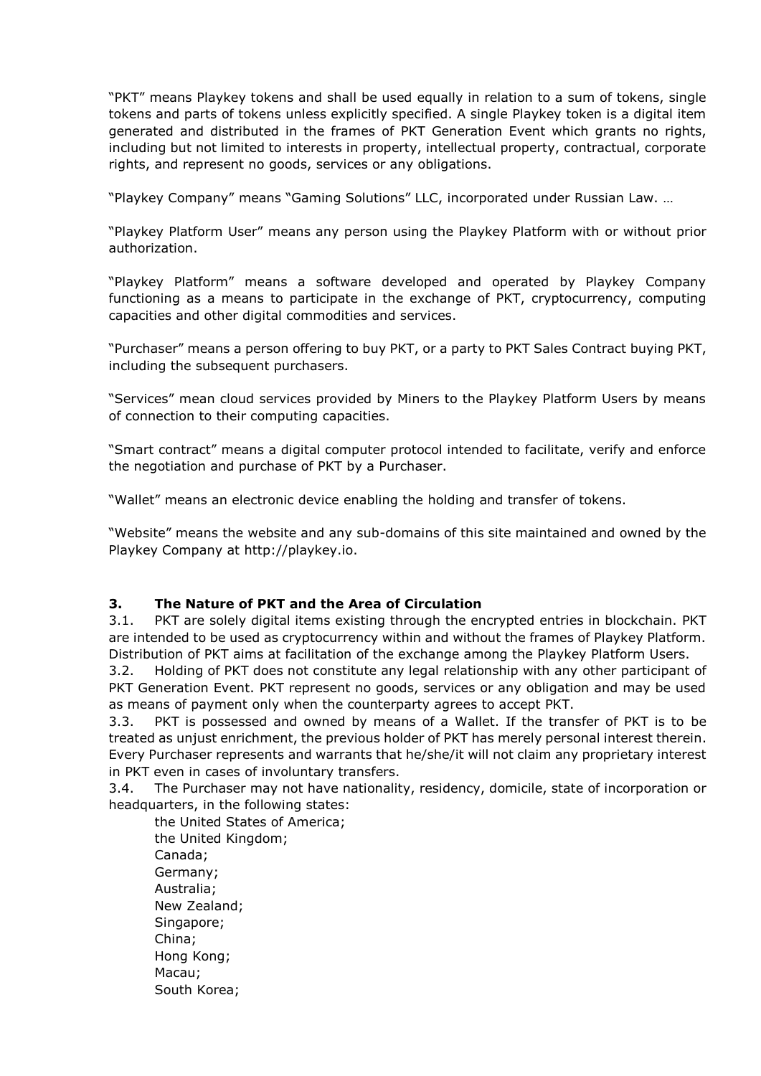"PKT" means Playkey tokens and shall be used equally in relation to a sum of tokens, single tokens and parts of tokens unless explicitly specified. A single Playkey token is a digital item generated and distributed in the frames of PKT Generation Event which grants no rights, including but not limited to interests in property, intellectual property, contractual, corporate rights, and represent no goods, services or any obligations.

"Playkey Company" means "Gaming Solutions" LLC, incorporated under Russian Law. …

"Playkey Platform User" means any person using the Playkey Platform with or without prior authorization.

"Playkey Platform" means a software developed and operated by Playkey Company functioning as a means to participate in the exchange of PKT, cryptocurrency, computing capacities and other digital commodities and services.

"Purchaser" means a person offering to buy PKT, or a party to PKT Sales Contract buying PKT, including the subsequent purchasers.

"Services" mean cloud services provided by Miners to the Playkey Platform Users by means of connection to their computing capacities.

"Smart contract" means a digital computer protocol intended to facilitate, verify and enforce the negotiation and purchase of PKT by a Purchaser.

"Wallet" means an electronic device enabling the holding and transfer of tokens.

"Website" means the website and any sub-domains of this site maintained and owned by the Playkey Company at http://playkey.io.

#### **3. The Nature of PKT and the Area of Circulation**

3.1. PKT are solely digital items existing through the encrypted entries in blockchain. PKT are intended to be used as cryptocurrency within and without the frames of Playkey Platform. Distribution of PKT aims at facilitation of the exchange among the Playkey Platform Users.

3.2. Holding of PKT does not constitute any legal relationship with any other participant of PKT Generation Event. PKT represent no goods, services or any obligation and may be used as means of payment only when the counterparty agrees to accept PKT.

3.3. PKT is possessed and owned by means of a Wallet. If the transfer of PKT is to be treated as unjust enrichment, the previous holder of PKT has merely personal interest therein. Every Purchaser represents and warrants that he/she/it will not claim any proprietary interest in PKT even in cases of involuntary transfers.

<span id="page-2-0"></span>3.4. The Purchaser may not have nationality, residency, domicile, state of incorporation or headquarters, in the following states:

the United States of America; the United Kingdom; Canada; Germany; Australia; New Zealand; Singapore; China; Hong Kong; Macau; South Korea;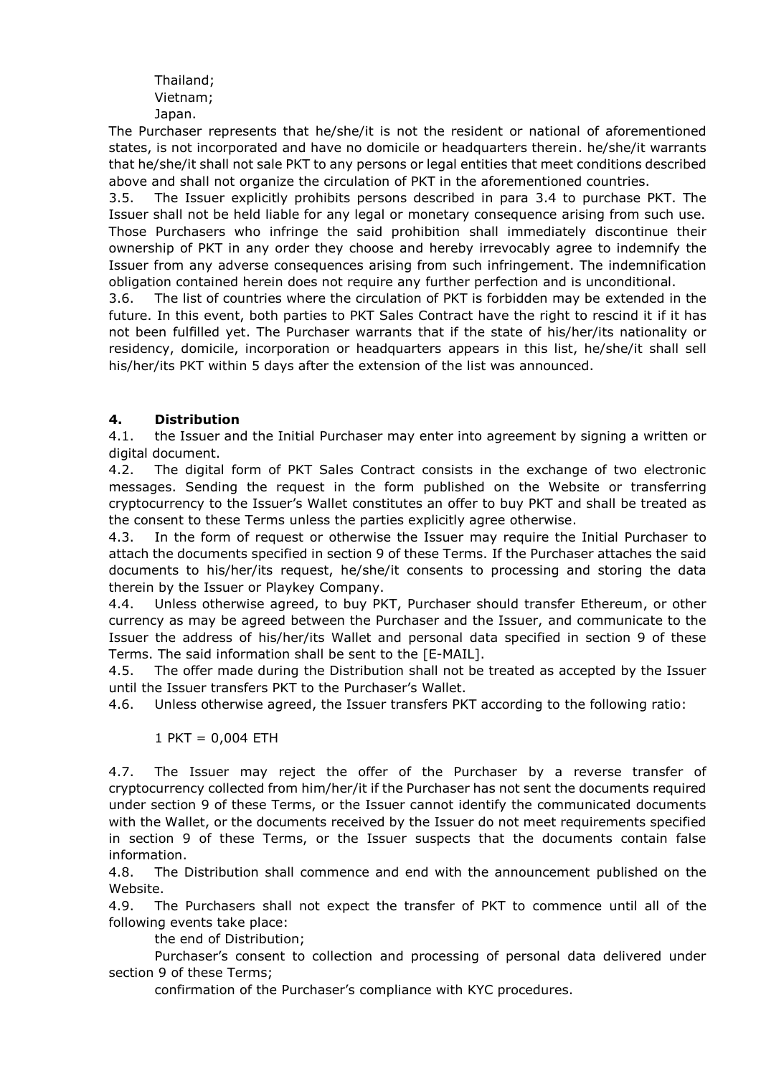Thailand; Vietnam; Japan.

The Purchaser represents that he/she/it is not the resident or national of aforementioned states, is not incorporated and have no domicile or headquarters therein. he/she/it warrants that he/she/it shall not sale PKT to any persons or legal entities that meet conditions described above and shall not organize the circulation of PKT in the aforementioned countries.

3.5. The Issuer explicitly prohibits persons described in para [3.4](#page-2-0) to purchase PKT. The Issuer shall not be held liable for any legal or monetary consequence arising from such use. Those Purchasers who infringe the said prohibition shall immediately discontinue their ownership of PKT in any order they choose and hereby irrevocably agree to indemnify the Issuer from any adverse consequences arising from such infringement. The indemnification obligation contained herein does not require any further perfection and is unconditional.

3.6. The list of countries where the circulation of PKT is forbidden may be extended in the future. In this event, both parties to PKT Sales Contract have the right to rescind it if it has not been fulfilled yet. The Purchaser warrants that if the state of his/her/its nationality or residency, domicile, incorporation or headquarters appears in this list, he/she/it shall sell his/her/its PKT within 5 days after the extension of the list was announced.

# **4. Distribution**

4.1. the Issuer and the Initial Purchaser may enter into agreement by signing a written or digital document.

4.2. The digital form of PKT Sales Contract consists in the exchange of two electronic messages. Sending the request in the form published on the Website or transferring cryptocurrency to the Issuer's Wallet constitutes an offer to buy PKT and shall be treated as the consent to these Terms unless the parties explicitly agree otherwise.

4.3. In the form of request or otherwise the Issuer may require the Initial Purchaser to attach the documents specified in section 9 of these Terms. If the Purchaser attaches the said documents to his/her/its request, he/she/it consents to processing and storing the data therein by the Issuer or Playkey Company.

4.4. Unless otherwise agreed, to buy PKT, Purchaser should transfer Ethereum, or other currency as may be agreed between the Purchaser and the Issuer, and communicate to the Issuer the address of his/her/its Wallet and personal data specified in section 9 of these Terms. The said information shall be sent to the [E-MAIL].

4.5. The offer made during the Distribution shall not be treated as accepted by the Issuer until the Issuer transfers PKT to the Purchaser's Wallet.

4.6. Unless otherwise agreed, the Issuer transfers PKT according to the following ratio:

#### $1$  PKT = 0,004 ETH

4.7. The Issuer may reject the offer of the Purchaser by a reverse transfer of cryptocurrency collected from him/her/it if the Purchaser has not sent the documents required under section 9 of these Terms, or the Issuer cannot identify the communicated documents with the Wallet, or the documents received by the Issuer do not meet requirements specified in section 9 of these Terms, or the Issuer suspects that the documents contain false information.

4.8. The Distribution shall commence and end with the announcement published on the Website.

4.9. The Purchasers shall not expect the transfer of PKT to commence until all of the following events take place:

the end of Distribution;

Purchaser's consent to collection and processing of personal data delivered under section 9 of these Terms;

confirmation of the Purchaser's compliance with KYC procedures.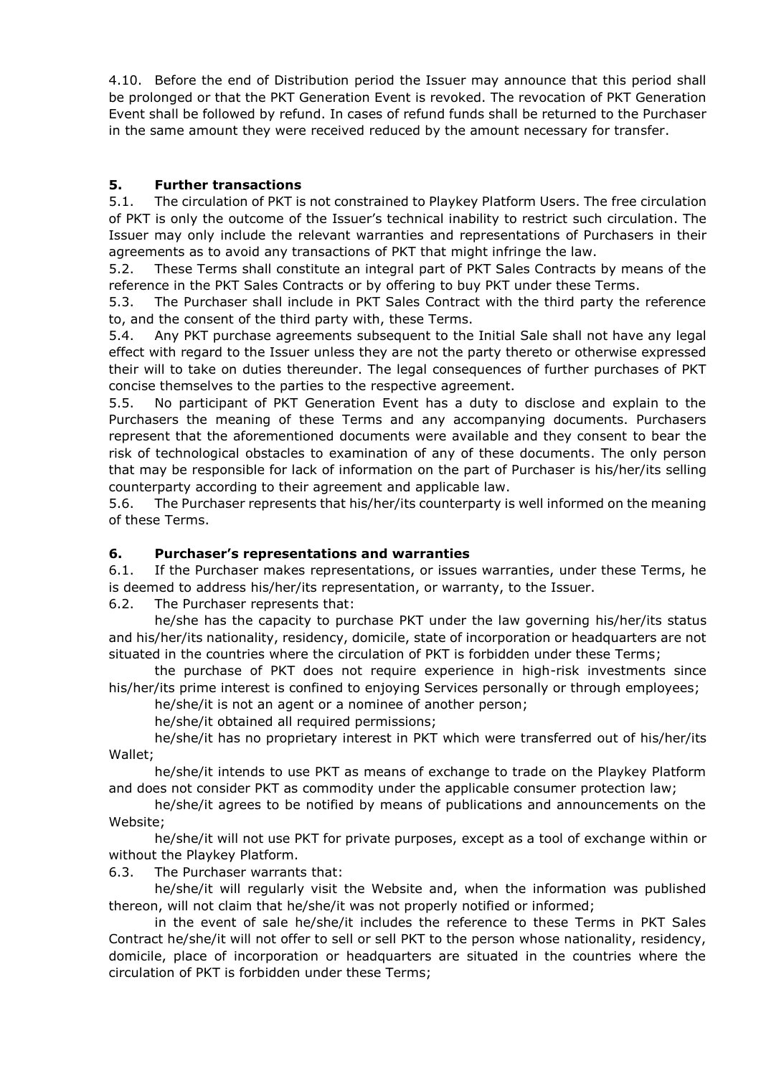<span id="page-4-0"></span>4.10. Before the end of Distribution period the Issuer may announce that this period shall be prolonged or that the PKT Generation Event is revoked. The revocation of PKT Generation Event shall be followed by refund. In cases of refund funds shall be returned to the Purchaser in the same amount they were received reduced by the amount necessary for transfer.

# **5. Further transactions**

5.1. The circulation of PKT is not constrained to Playkey Platform Users. The free circulation of PKT is only the outcome of the Issuer's technical inability to restrict such circulation. The Issuer may only include the relevant warranties and representations of Purchasers in their agreements as to avoid any transactions of PKT that might infringe the law.

5.2. These Terms shall constitute an integral part of PKT Sales Contracts by means of the reference in the PKT Sales Contracts or by offering to buy PKT under these Terms.

5.3. The Purchaser shall include in PKT Sales Contract with the third party the reference to, and the consent of the third party with, these Terms.

5.4. Any PKT purchase agreements subsequent to the Initial Sale shall not have any legal effect with regard to the Issuer unless they are not the party thereto or otherwise expressed their will to take on duties thereunder. The legal consequences of further purchases of PKT concise themselves to the parties to the respective agreement.

5.5. No participant of PKT Generation Event has a duty to disclose and explain to the Purchasers the meaning of these Terms and any accompanying documents. Purchasers represent that the aforementioned documents were available and they consent to bear the risk of technological obstacles to examination of any of these documents. The only person that may be responsible for lack of information on the part of Purchaser is his/her/its selling counterparty according to their agreement and applicable law.

5.6. The Purchaser represents that his/her/its counterparty is well informed on the meaning of these Terms.

#### **6. Purchaser's representations and warranties**

6.1. If the Purchaser makes representations, or issues warranties, under these Terms, he is deemed to address his/her/its representation, or warranty, to the Issuer.

6.2. The Purchaser represents that:

he/she has the capacity to purchase PKT under the law governing his/her/its status and his/her/its nationality, residency, domicile, state of incorporation or headquarters are not situated in the countries where the circulation of PKT is forbidden under these Terms;

the purchase of PKT does not require experience in high-risk investments since his/her/its prime interest is confined to enjoying Services personally or through employees;

he/she/it is not an agent or a nominee of another person;

he/she/it obtained all required permissions;

he/she/it has no proprietary interest in PKT which were transferred out of his/her/its Wallet;

he/she/it intends to use PKT as means of exchange to trade on the Playkey Platform and does not consider PKT as commodity under the applicable consumer protection law;

he/she/it agrees to be notified by means of publications and announcements on the Website;

he/she/it will not use PKT for private purposes, except as a tool of exchange within or without the Playkey Platform.

6.3. The Purchaser warrants that:

he/she/it will regularly visit the Website and, when the information was published thereon, will not claim that he/she/it was not properly notified or informed;

in the event of sale he/she/it includes the reference to these Terms in PKT Sales Contract he/she/it will not offer to sell or sell PKT to the person whose nationality, residency, domicile, place of incorporation or headquarters are situated in the countries where the circulation of PKT is forbidden under these Terms;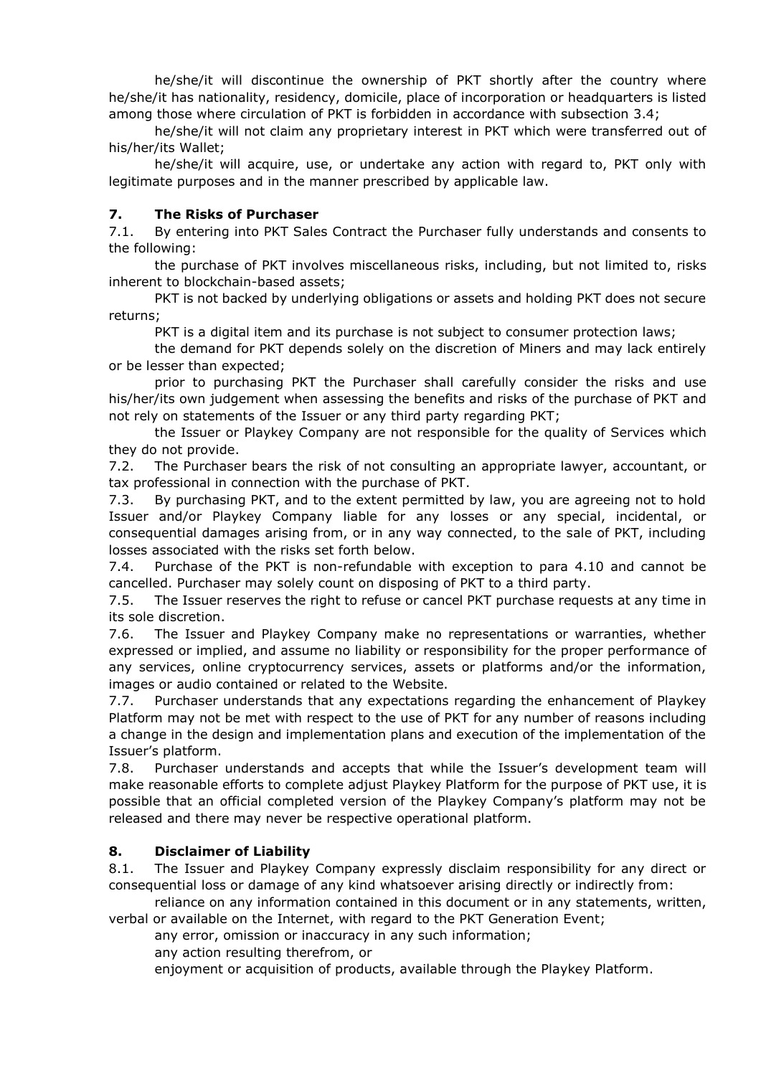he/she/it will discontinue the ownership of PKT shortly after the country where he/she/it has nationality, residency, domicile, place of incorporation or headquarters is listed among those where circulation of PKT is forbidden in accordance with subsection 3.4;

he/she/it will not claim any proprietary interest in PKT which were transferred out of his/her/its Wallet;

he/she/it will acquire, use, or undertake any action with regard to, PKT only with legitimate purposes and in the manner prescribed by applicable law.

#### **7. The Risks of Purchaser**

7.1. By entering into PKT Sales Contract the Purchaser fully understands and consents to the following:

the purchase of PKT involves miscellaneous risks, including, but not limited to, risks inherent to blockchain-based assets;

PKT is not backed by underlying obligations or assets and holding PKT does not secure returns;

PKT is a digital item and its purchase is not subject to consumer protection laws;

the demand for PKT depends solely on the discretion of Miners and may lack entirely or be lesser than expected;

prior to purchasing PKT the Purchaser shall carefully consider the risks and use his/her/its own judgement when assessing the benefits and risks of the purchase of PKT and not rely on statements of the Issuer or any third party regarding PKT;

the Issuer or Playkey Company are not responsible for the quality of Services which they do not provide.

7.2. The Purchaser bears the risk of not consulting an appropriate lawyer, accountant, or tax professional in connection with the purchase of PKT.

7.3. By purchasing PKT, and to the extent permitted by law, you are agreeing not to hold Issuer and/or Playkey Company liable for any losses or any special, incidental, or consequential damages arising from, or in any way connected, to the sale of PKT, including losses associated with the risks set forth below.

7.4. Purchase of the PKT is non-refundable with exception to para [4.10](#page-4-0) and cannot be cancelled. Purchaser may solely count on disposing of PKT to a third party.

7.5. The Issuer reserves the right to refuse or cancel PKT purchase requests at any time in its sole discretion.

7.6. The Issuer and Playkey Company make no representations or warranties, whether expressed or implied, and assume no liability or responsibility for the proper performance of any services, online cryptocurrency services, assets or platforms and/or the information, images or audio contained or related to the Website.

7.7. Purchaser understands that any expectations regarding the enhancement of Playkey Platform may not be met with respect to the use of PKT for any number of reasons including a change in the design and implementation plans and execution of the implementation of the Issuer's platform.

7.8. Purchaser understands and accepts that while the Issuer's development team will make reasonable efforts to complete adjust Playkey Platform for the purpose of PKT use, it is possible that an official completed version of the Playkey Company's platform may not be released and there may never be respective operational platform.

#### **8. Disclaimer of Liability**

8.1. The Issuer and Playkey Company expressly disclaim responsibility for any direct or consequential loss or damage of any kind whatsoever arising directly or indirectly from:

reliance on any information contained in this document or in any statements, written, verbal or available on the Internet, with regard to the PKT Generation Event;

any error, omission or inaccuracy in any such information;

any action resulting therefrom, or

enjoyment or acquisition of products, available through the Playkey Platform.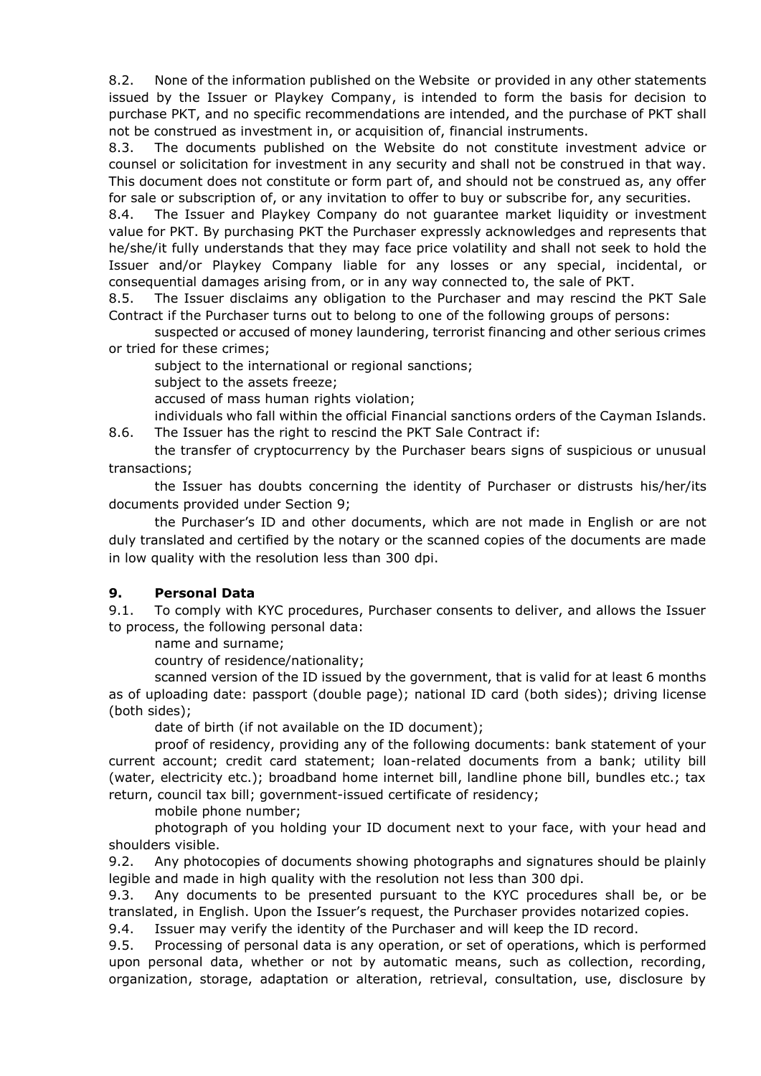8.2. None of the information published on the Website or provided in any other statements issued by the Issuer or Playkey Company, is intended to form the basis for decision to purchase PKT, and no specific recommendations are intended, and the purchase of PKT shall not be construed as investment in, or acquisition of, financial instruments.

8.3. The documents published on the Website do not constitute investment advice or counsel or solicitation for investment in any security and shall not be construed in that way. This document does not constitute or form part of, and should not be construed as, any offer for sale or subscription of, or any invitation to offer to buy or subscribe for, any securities.

8.4. The Issuer and Playkey Company do not guarantee market liquidity or investment value for PKT. By purchasing PKT the Purchaser expressly acknowledges and represents that he/she/it fully understands that they may face price volatility and shall not seek to hold the Issuer and/or Playkey Company liable for any losses or any special, incidental, or consequential damages arising from, or in any way connected to, the sale of PKT.

8.5. The Issuer disclaims any obligation to the Purchaser and may rescind the PKT Sale Contract if the Purchaser turns out to belong to one of the following groups of persons:

suspected or accused of money laundering, terrorist financing and other serious crimes or tried for these crimes;

subject to the international or regional sanctions;

subject to the assets freeze;

accused of mass human rights violation;

individuals who fall within the official Financial sanctions orders of the Cayman Islands.

8.6. The Issuer has the right to rescind the PKT Sale Contract if:

the transfer of cryptocurrency by the Purchaser bears signs of suspicious or unusual transactions;

the Issuer has doubts concerning the identity of Purchaser or distrusts his/her/its documents provided under Section 9;

the Purchaser's ID and other documents, which are not made in English or are not duly translated and certified by the notary or the scanned copies of the documents are made in low quality with the resolution less than 300 dpi.

#### **9. Personal Data**

9.1. To comply with KYC procedures, Purchaser consents to deliver, and allows the Issuer to process, the following personal data:

name and surname;

country of residence/nationality;

scanned version of the ID issued by the government, that is valid for at least 6 months as of uploading date: passport (double page); national ID card (both sides); driving license (both sides);

date of birth (if not available on the ID document);

proof of residency, providing any of the following documents: bank statement of your current account; credit card statement; loan-related documents from a bank; utility bill (water, electricity etc.); broadband home internet bill, landline phone bill, bundles etc.; tax return, council tax bill; government-issued certificate of residency;

mobile phone number;

photograph of you holding your ID document next to your face, with your head and shoulders visible.

9.2. Any photocopies of documents showing photographs and signatures should be plainly legible and made in high quality with the resolution not less than 300 dpi.

9.3. Any documents to be presented pursuant to the KYC procedures shall be, or be translated, in English. Upon the Issuer's request, the Purchaser provides notarized copies.

9.4. Issuer may verify the identity of the Purchaser and will keep the ID record.

9.5. Processing of personal data is any operation, or set of operations, which is performed upon personal data, whether or not by automatic means, such as collection, recording, organization, storage, adaptation or alteration, retrieval, consultation, use, disclosure by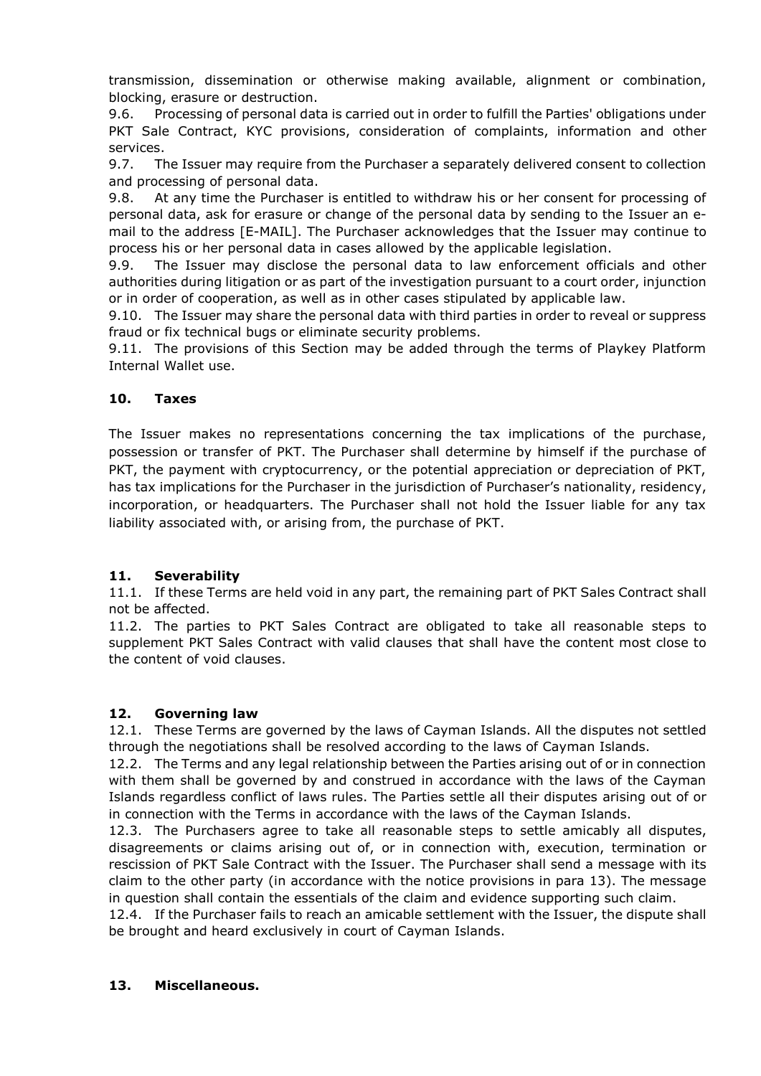transmission, dissemination or otherwise making available, alignment or combination, blocking, erasure or destruction.

9.6. Processing of personal data is carried out in order to fulfill the Parties' obligations under PKT Sale Contract, KYC provisions, consideration of complaints, information and other services.

9.7. The Issuer may require from the Purchaser a separately delivered consent to collection and processing of personal data.

9.8. At any time the Purchaser is entitled to withdraw his or her consent for processing of personal data, ask for erasure or change of the personal data by sending to the Issuer an email to the address [E-MAIL]. The Purchaser acknowledges that the Issuer may continue to process his or her personal data in cases allowed by the applicable legislation.

9.9. The Issuer may disclose the personal data to law enforcement officials and other authorities during litigation or as part of the investigation pursuant to a court order, injunction or in order of cooperation, as well as in other cases stipulated by applicable law.

9.10. The Issuer may share the personal data with third parties in order to reveal or suppress fraud or fix technical bugs or eliminate security problems.

9.11. The provisions of this Section may be added through the terms of Playkey Platform Internal Wallet use.

### **10. Taxes**

The Issuer makes no representations concerning the tax implications of the purchase, possession or transfer of PKT. The Purchaser shall determine by himself if the purchase of PKT, the payment with cryptocurrency, or the potential appreciation or depreciation of PKT, has tax implications for the Purchaser in the jurisdiction of Purchaser's nationality, residency, incorporation, or headquarters. The Purchaser shall not hold the Issuer liable for any tax liability associated with, or arising from, the purchase of PKT.

#### **11. Severability**

11.1. If these Terms are held void in any part, the remaining part of PKT Sales Contract shall not be affected.

11.2. The parties to PKT Sales Contract are obligated to take all reasonable steps to supplement PKT Sales Contract with valid clauses that shall have the content most close to the content of void clauses.

#### **12. Governing law**

12.1. These Terms are governed by the laws of Cayman Islands. All the disputes not settled through the negotiations shall be resolved according to the laws of Cayman Islands.

12.2. The Terms and any legal relationship between the Parties arising out of or in connection with them shall be governed by and construed in accordance with the laws of the Cayman Islands regardless conflict of laws rules. The Parties settle all their disputes arising out of or in connection with the Terms in accordance with the laws of the Cayman Islands.

12.3. The Purchasers agree to take all reasonable steps to settle amicably all disputes, disagreements or claims arising out of, or in connection with, execution, termination or rescission of PKT Sale Contract with the Issuer. The Purchaser shall send a message with its claim to the other party (in accordance with the notice provisions in para 13). The message in question shall contain the essentials of the claim and evidence supporting such claim.

12.4. If the Purchaser fails to reach an amicable settlement with the Issuer, the dispute shall be brought and heard exclusively in court of Cayman Islands.

#### **13. Miscellaneous.**